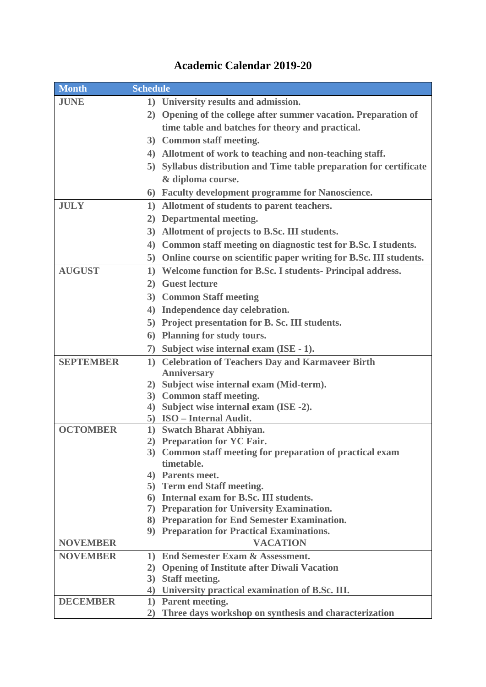## **Month Schedule JUNE 1) University results and admission. 2) Opening of the college after summer vacation. Preparation of time table and batches for theory and practical. 3) Common staff meeting. 4) Allotment of work to teaching and non-teaching staff. 5) Syllabus distribution and Time table preparation for certificate & diploma course. 6) Faculty development programme for Nanoscience. JULY 1) Allotment of students to parent teachers. 2) Departmental meeting. 3) Allotment of projects to B.Sc. III students. 4) Common staff meeting on diagnostic test for B.Sc. I students. 5) Online course on scientific paper writing for B.Sc. III students. AUGUST 1) Welcome function for B.Sc. I students- Principal address. 2) Guest lecture 3) Common Staff meeting 4) Independence day celebration. 5) Project presentation for B. Sc. III students. 6) Planning for study tours. 7) Subject wise internal exam (ISE - 1). SEPTEMBER 1) Celebration of Teachers Day and Karmaveer Birth Anniversary 2) Subject wise internal exam (Mid-term). 3) Common staff meeting. 4) Subject wise internal exam (ISE -2). 5) ISO – Internal Audit. OCTOMBER 1) Swatch Bharat Abhiyan. 2) Preparation for YC Fair. 3) Common staff meeting for preparation of practical exam timetable. 4) Parents meet. 5) Term end Staff meeting. 6) Internal exam for B.Sc. III students. 7) Preparation for University Examination. 8) Preparation for End Semester Examination. 9) Preparation for Practical Examinations. NOVEMBER VACATION NOVEMBER 1) End Semester Exam & Assessment. 2) Opening of Institute after Diwali Vacation 3) Staff meeting. 4) University practical examination of B.Sc. III. DECEMBER 1) Parent meeting. 2) Three days workshop on synthesis and characterization**

## **Academic Calendar 2019-20**